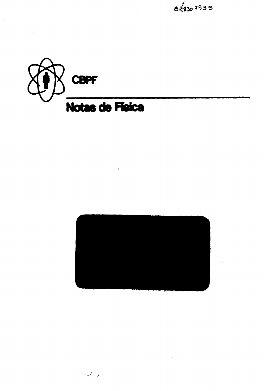





 $\ddot{\phantom{0}}$ 

الأستميتان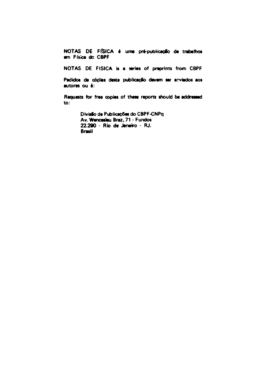NOTAS DE FÍSICA é uma pré-publicação de trabalhos em Física do CBPF

NOTAS DE FISICA is a series of preprints from CBPF

Pedidos de cópias desta publicação devem ser enviados aos autores ou à:

Requests for free copies of these reports should be addressed  $\mathbf{to}$ :

> Divisão de Publicações do CBPF-CNPq Av. Wencesleu Braz, 71 - Fundos 22.290 - Rio de Janeiro - RJ. **Brasil**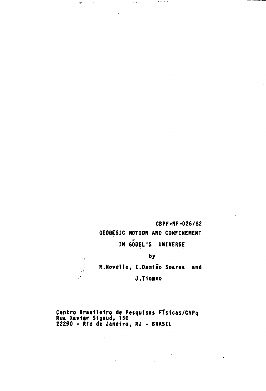# **CBPF-NF-026/82 GEODESIC NOTION AND CONFINEMENT IN GODEL'S UNIVERSE by**

 $\sim$   $\sim$   $\sim$ 

 $\ddotsc$ 

**M.Noveiio, I.Damião Soares and J.TIomno**

**Centro Brasileiro de Pesquisas FT\$1cas/CNPq Rua Xavier Si gaud, 150 22290 - Rio de Janeiro, RJ - BRASIL**

 $\overline{\phantom{a}}$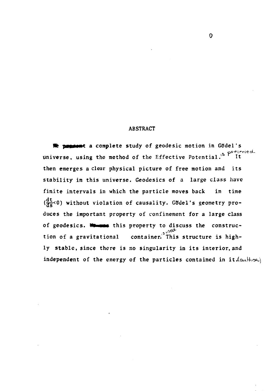#### **ABSTRACT**

**Re possent a complete study of geodesic motion in Gödel's universe, using the method of the Effective Potential.\* It then emerges a clear physical picture of free motion and its stability in this universe. Geodesies of a large class have finite intervals in which the particle moves back in time** ( $\frac{dt}{d\epsilon}$ <0) without violation of causality. Godel's geometry pro**duces the important property of confinement for a large class** of geodesics. **We use** this property to discuss the construction of a gravitational container.<sup>2</sup> This structure is high**ly stable, since there is no singularity in its interior, and independent of the energy of the particles contained in i**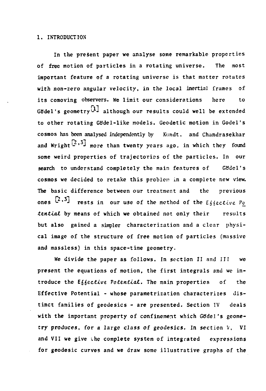#### **1. INTRODUCTION**

**In the present paper we analyse some remarkable properties of free motion of particles in a rotating universe. The most important feature of a rotating universe is that matter rotates with non-zero angular velocity, in the local inertial frames of its comoving observers. We limit our considerations here to** Gödel's geometry<sup>[1]</sup> although our results could well be extended **to other rotating Gddel-like models. Geodetic motion in Godel's cosmos has been analysed independently by Kondt, and Chandrasekhar** and Wright<sup> $[2,3]$ </sup> more than twenty years ago, in which they found **some weird properties of trajectories of the particles. In our** search to understand completely the main features of Godel's **cosmos we decided to retake this problem in a complete new view. The basic difference between our treatment and the previous**  $\frac{2}{3}$   $\frac{2}{3}$ **rests in our use of the method of the**  $E_3$ *sective Po* **tzntioUL by means of which we obtained not only their results but also gained a simpler characterization and a clear physical image of the structure of free motion of particles (massive and massless) in this space-time geometry.**

**We divide the paper as follows. In section II and III we present the equations of motion, the first integrals and we in**troduce the *E*<sub>6</sub> (*sective Potential*. The main properties of the **Effective Potential - whose parametrization characterizes distinct families of geodesies - are presented. Section IV deals** with the important property of confinement which Godel's geome**try produces, for a large class of geodesies. In section V, VI and VII we give the complete system of integrated expressions for geodesic curves and we draw some illustrative graphs of the**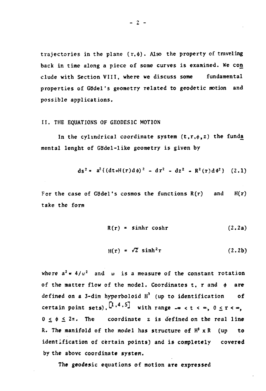trajectories in the plane (r,  $\phi$ ). Also the property of traveling **back in time along a piece of some curves is examined. We con elude with Section VIII, where we discuss some fundamental properties of GBdel's geometry related to geodetic motion and possible applications.**

#### **II. THE EQUATIONS OF GEODESIC MOTION**

In the cylindrical coordinate system  $(t, r, \phi, z)$  the funda **mental lenght of GBdel-like geometry is given by**

$$
ds^{2} = a^{2} \{ (dt+H(r) d\phi)^{2} - dr^{2} - dz^{2} - R^{2}(r) d\phi^{2} \} (2.1)
$$

For the case of Gödel's cosmos the functions  $R(r)$  and  $H(r)$ take the form

$$
R(r) = \sinh r \cosh r \qquad (2.2a)
$$

$$
H(r) = \sqrt{2} \sinh^2 r \qquad (2.2b)
$$

where  $a^2 \neq 4/w^2$  and w is a measure of the constant rotation of the matter flow of the model. Coordinates t, r and  $\phi$  are **defined on a 3-dim hyperboloid H<sup>3</sup> (up to identification of** certain point sets),  $[1, 4, 5]$  with range  $-\infty < t < \infty$ ,  $0 \leq r < \infty$ ,  $0 \leq \phi \leq 2\pi$ . The coordinate z is defined on the real line **R. The manifold of the model has structure of H\* x R (up to identification of certain points) and is completely covered by the above coordinate system.**

**The geodesic equations of motion are expressed**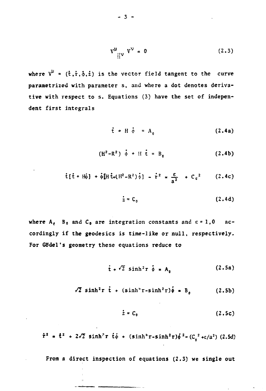$$
V^{\mu} \bigg| V^{\nu} = 0 \tag{2.3}
$$

where  $V^{\mu}$  =  $(\hat{t}, \hat{r}, \hat{\phi}, \hat{z})$  is the vector field tangent to the curve **parametrized with parameter s, and where a dot denotes derivative with respect to s. Equations (3) have the set of independent first integrals**

$$
\dot{\mathbf{t}} + \mathbf{H} \dot{\phi} = \mathbf{A}_0 \tag{2.4a}
$$

$$
(H^2 - R^2) \dot{\phi} + H \dot{t} = B_0 \qquad (2.4b)
$$

$$
\dot{\mathbf{t}}[\dot{\mathbf{t}} + \mathbf{H}\dot{\phi}] + \dot{\phi}[\mathbf{H}\dot{\mathbf{t}} + (\mathbf{H}^2 - \mathbf{R}^2)\dot{\phi}] - \dot{\mathbf{r}}^2 = \frac{\varepsilon}{a^2} + C_0^2
$$
 (2.4c)

$$
\dot{z} = C_0 \tag{2.4d}
$$

where  $A_{\epsilon}$  B<sub>0</sub> and C<sub>0</sub> are integration constants and  $\epsilon = 1$ , 0 accordingly if the geodesies is time-like or null, respectively. For Gödel's geometry these equations reduce to

$$
\dot{\mathbf{t}} + \sqrt{2} \sinh^2 r \, \dot{\phi} = A_0 \qquad (2.5a)
$$

$$
\sqrt{2} \sinh^2 r \dot{t} + (\sinh^4 r - \sinh^2 r) \dot{\phi} = B_0 \qquad (2.5b)
$$

$$
\dot{z} = C_0 \tag{2.5c}
$$

 $\dot{r}^2$  =  $\dot{t}^2$  + 2 $\sqrt{2}$  sinh<sup>2</sup>r  $\dot{t}$  + (sinh<sup>4</sup>r-sinh<sup>2</sup>r) $\dot{\phi}^2$ -(C<sub>0</sub><sup>2</sup>+c/a<sup>2</sup>) (2.5d)

From a direct inspection of equations (2.3) we single out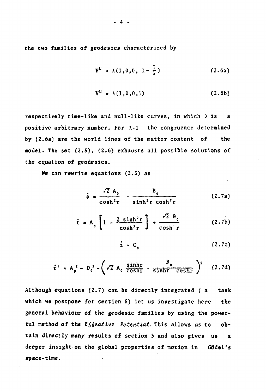**the two families of geodesies characterized by**

$$
V^{\mu} = \lambda(1, 0, 0, 1 - \frac{1}{\lambda})
$$
 (2.6a)

$$
V^{\mu} = \lambda(1,0,0,1) \qquad (2.6b)
$$

respectively time-like and null-like curves, in which  $\lambda$  is a positive arbitrary number. For  $\lambda=1$  the congruence determined **by (2.6a) are the world lines of the matter content of the model. The set (2.5), (2.6) exhausts** all **possible solutions of the equation of geodesies.**

**We can rewrite equations (2.5) as**

$$
\dot{\phi} = \frac{\sqrt{2} A_0}{\cosh^2 r} - \frac{B_0}{\sinh^2 r \cosh^2 r}
$$
 (2.7a)

$$
\dot{\mathbf{t}} = \mathbf{A}_0 \left[ 1 - \frac{2 \sinh^2 \mathbf{r}}{\cosh^2 \mathbf{r}} \right] + \frac{\sqrt{2} \mathbf{B}_0}{\cosh^2 \mathbf{r}} \tag{2.7b}
$$

$$
\dot{z} = C_0 \tag{2.7c}
$$

$$
\dot{\tau}^2 = A_0^2 - D_0^2 - \left(\sqrt{2} A_0 \frac{\sinh r}{\cosh r} - \frac{B_0}{\sinh r \cosh r}\right)^2 \quad (2.7d)
$$

**Although equations (2.7) can be directly integrated ( a task which we postpone for section 5) let us investigate here the general behaviour of the geodesic families by using the power**ful method of the Effective Potential. This allows us to ob**tain directly many results of section 5 and also gives us a deeper insight on the global properties of motion in Gifdel's space-time.**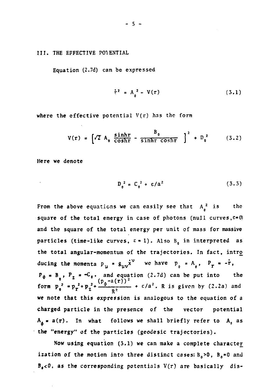**III. THE EFFECTIVE POTENTIAL**

**Equation (2.7d) can be expressed**

$$
\dot{\tau}^2 = A_a^2 - V(r) \tag{3.1}
$$

**where the effective potential V(r) has the form**

$$
V(r) = \left[\sqrt{2} A_0 \frac{\sinh r}{\cosh r} - \frac{B_0}{\sinh r \cosh r} \right]^2 + D_0^2 \qquad (3.2)
$$

**Here we denote**

$$
D_n^2 = C_n^2 + \varepsilon/a^2
$$
 (3.3)

**From the above equations we can easily see that A<sup>2</sup> is the square of the total energy in case of photons (null curves,e«0) and the square of the total energy per unit of mass for massive particles** (time-like curves,  $\epsilon = 1$ ). Also  $B_n$  in interpreted as **the total angular-momentum of the trajectories. In fact, intro** ducing the momenta  $p_\mu = g_{\mu\nu} \dot{x}^\nu$  we have  $p_\rho = A_\rho$ ,  $P_T = -\dot{r}$  $P_{\phi}$  **\*** B<sub>**o**</sub>,  $P_{z}$  **\***  $\sim$   $C_{\phi}$ , and equation (2.7d) can be put into the **0**  $(P_{\phi} - a(r))^2$ **form**  $p_a^2$  \* $p_r^2 + p_z^2 + \frac{p}{2}$   $\rightarrow$   $\rightarrow$   $\epsilon/a^2$ . R is given by (2.2a) and R **we note that this expression is analogous to the equation of a charged particle in the presence of the vector potential**  $A_{\phi} = a(\tau)$ . In what follows we shall briefly refer to  $A_{\phi}$  as<br>the "energy" of the particles (geodesic trajectories).

**Now using equation (3.1) we can make a complete character ization of the motion into three distinct cases:Bo>0, Bo«0 and**

**B,<0, as the corresponding potentials V(r) are basically dis-**

**the "energy" of the particles (geodesic trajectories).**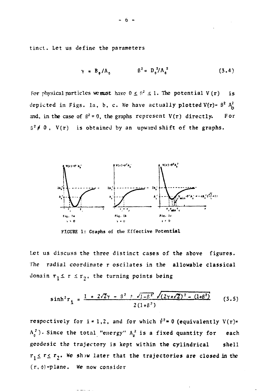tinct. Let us define the parameters

$$
\gamma = B_{0}/A_{0} \qquad \beta^{2} = D_{0}^{2}/A_{0}^{2} \qquad (3.4)
$$

For physical particles we must have  $0 \leq \beta^2 \leq 1$ . The potential V (r) is depicted in Figs. la, b, c. We have actually plotted  $V(r)$ -  $B^2$   $A^2$ and, in the case of  $\beta^2 = 0$ , the graphs represent  $V(r)$  directly. For  $S^2 \neq 0$ ,  $V(r)$  is obtained by an upward shift of the graphs.



**FIGURE 1: Graphs of the Effective Potential**

**Let us discuss the three distinct cases of the above figures. The radial coordinate r oscilates in the allowable classical** domain  $r_1 \le r \le r_2$ , the turning points being

$$
\sinh^{2} r_{i} = \frac{1 + 2\sqrt{2}\gamma - \beta^{2} + \sqrt{1 - \beta^{2}} \sqrt{(2\gamma + \sqrt{2})^{2} - (1 + \beta^{2})}}{2(1 + \beta^{2})}
$$
(3.5)

respectively for  $i = 1, 2$ , and for which  $\dot{r}^2 = 0$  (equivalently  $V(r) =$ **A <sup>5</sup> ? ) . Since the total "energy" A<sup>0</sup> 2 is a fixed quantity for each geodesic the trajectory is kept within the cylindrical shell**  $r_1 \le r \le r_2$ . We show later that the trajectories are closed in the  $(r, \phi)$ -plane. We now consider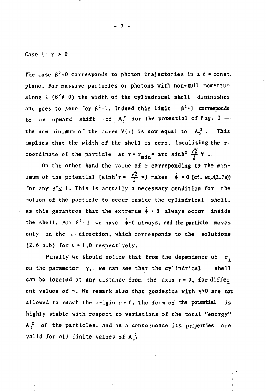**Case 1: Y > O**

The case  $\beta^2 = 0$  corresponds to photon trajectories in a  $z = const$ . **plane. For massive particles or photons with non-null momentum** along  $z \left( \beta^2 \neq 0 \right)$  the width of the cylindrical shell diminishes and goes to zero for  $\beta^2 = 1$ . Indeed this limit  $\beta^2 = 1$  corresponds to an upward shift of  $A_0^2$  for the potential of Fig. 1 the new minimum of the curve  $V(r)$  is now equal to  $A_n^2$ . This **implies that the width of the shell is zero, localizing the r**coordinate of the particle at  $r = r_{min} = arc sinh^2 \frac{\sqrt{2}}{2} \gamma$ .

**On the other hand the value of r correponding to the minimum of the potential (sinh<sup>2</sup>r =**  $\frac{\sqrt{2}}{2}$  $\gamma$ **) makes**  $\phi$  **= 0 (cf. eq.(2.7a))** for any  $\beta^2 \leq 1$ . This is actually a necessary condition for the **motion of the particle to occur inside the cylindrical shell,** as this garantees that the extremum  $\dot{\phi} = 0$  always occur inside the shell. For  $\beta^2 = 1$  we have  $\phi = 0$  always, and the particle moves **only in the z- direction, which corresponds to the solutions (2.6 a,b) for e \* 1,0 respectively.**

**Finally we should notice that from the dependence of r. on the parameter Y, we can see that the cylindrical shell** can be located at any distance from the axis  $r = 0$ , for differ **ent values of y. We remark also that geodesies with Y>0 are not allowed to reach the origin r« 0. The form of the potential is highly stable with respect to variations of the total "energy" A<sup>0</sup> <sup>2</sup> of the particles, and as a consequence its properties are** valid for all finite values of  $A_0^2$ .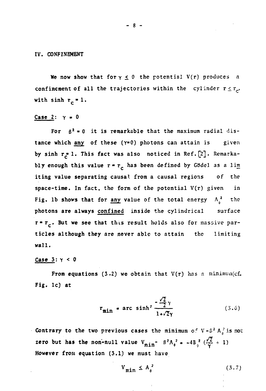#### **IV. CONFINEMENT**

We now show that for  $y \le 0$  the potential  $V(r)$  produces a **confinement of all the trajectories within the cylinder**  $r \leq r_c$ **,** with  $sinh$   $r_c = 1$ .

## Case  $2: \gamma = 0$

For  $\beta^2 = 0$  it is remarkable that the maximum radial dis**tance which any of these (Y=0) photons can attain is given** by sinh r<sup>\*</sup> 1. This fact was also noticed in Ref. [2]. Remarkably enough this value  $r = r_c$  has been defined by GBdel as a lim **iting value separating causal from a causal regions of the space-time. In fact, the form of the potential V(r) given in** Fig. 1b shows that for any value of the total energy  $A<sub>a</sub><sup>2</sup>$  the **photons are always confined inside the cylindrical surface** r<sup>\*</sup>r<sub>c</sub>. But we see that this result holds also for massive par**ticles although they are never able to attain the limiting wall.**

#### **Case 3: y < 0**

**From equations (3.2) we obtain that V(r) has a minimun(cf. Fig. lc) at**

$$
\mathbf{r}_{\text{min}} = \text{arc sinh}^2 \frac{-\frac{\sqrt{2}}{2} \gamma}{1 + \sqrt{2} \gamma}
$$
 (3.6)

Contrary to the two previous cases the minimum of  $V - B^2 A_0^2$  is not zero but has the non-null value  $V_{\text{min}}$  -  $\beta^2 A_0^2$  =  $-4B_3^2 \left(\frac{\sqrt{2}}{2} \div 1\right)$ **However** from equation (3.1) we must have

$$
V_{\min} \le A_0^2 \tag{3.7}
$$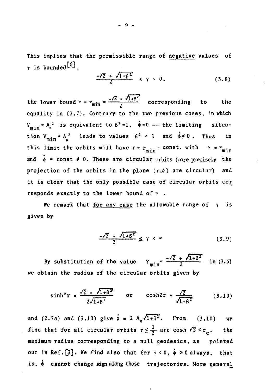**This implies that the permissible range of negative values of**  $\gamma$  is bounded  $^{\lceil 6 \rceil}$ .

$$
\frac{-\sqrt{2} + \sqrt{1+\beta^2}}{2} \leq \gamma < 0, \tag{3.8}
$$

the lower bound  $\gamma = \gamma_{\min} = \frac{2\gamma Z + \gamma_{\text{1+}} - \gamma_{\text{2}}}{2}$  corresponding to the **equality in (3.7). Contrary to the two previous cases, in which**  $V_{\min} = A_0^2$  is equivalent to  $\beta^2 = 1$ ,  $\dot{\phi} = 0$  — the limiting situation  $V_{min} = A_0^2$  leads to values  $6^2 < 1$  and  $\phi \neq 0$ . Thus in this limit the orbits will have  $r = r_{min} = const$ . with  $\gamma = \gamma_{min}$ and  $\phi$  = const  $\neq$  0. These are circular orbits (more precisely the projection of the orbits in the plane  $(r, \phi)$  are circular) and it is clear that the only possible case of circular orbits cor responds exactly to the lower bound of  $\gamma$ .

We remark that for any case the allowable range of  $\gamma$  is given by

$$
\frac{-\sqrt{2} + \sqrt{1+\beta^2}}{2} \leq \gamma < \infty \tag{3.9}
$$

By substitution of the value  $Y_{\min} = \frac{-\sqrt{2} + \sqrt{1 + \beta^2}}{2}$  in (3.6) **we obtain the radius of the circular orbits given by**

$$
\sinh^2 r = \frac{\sqrt{2} - \sqrt{1 + \beta^2}}{2\sqrt{1 + \beta^2}} \quad \text{or} \quad \cosh 2r = \frac{\sqrt{2}}{\sqrt{1 + \beta^2}} \quad (3.10)
$$

and (2.7a) and (3.10) give  $\dot{\phi} = 2 A_0 \sqrt{1 + \beta^2}$ . From (3.10) we find that for all circular orbits  $r \leq \frac{1}{2}$  arc cosh  $\sqrt{2} < r_c$ , the **maximum radius corresponding to a null geodesies, as pointed** out in Ref.  $\begin{bmatrix} 3 \end{bmatrix}$ . We find also that for  $\gamma < 0$ ,  $\phi > 0$  always, that **is, h cannot change sign along these trajectories. More general**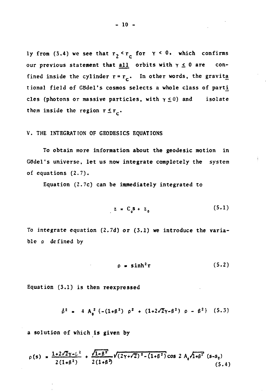ly from (3.4) we see that  $r_2 < r_c$  for  $\gamma < 0$ , which confirms our previous statement that all orbits with  $\gamma \leq 0$  are confined inside the cylinder  $r = r_c$ . In other words, the gravita tional field of Gödel's cosmos selects a whole class of parti cles (photons or massive particles, with  $\gamma \leq 0$ ) and isolate them inside the region  $r \le r_c$ .

# **V. THE INTEGRATION OF GEODESICS EQUATIONS**

**To obtain more information about the geodesic motion in** Gödel's universe, let us now integrate completely the system **of equations (2.7).**

**Equation (2.7c) can be immediately integrated to**

$$
z = C_0 S + z_0 \tag{5.1}
$$

**To integrate equation (2.7d) or (3.1) we introduce the variable p defined by**

$$
\rho = \sinh^2 r \tag{5.2}
$$

**Equation (3.1) is then reexpressed**

$$
\hat{\rho}^2 = 4 A_0^2 \{ -(1+\beta^2) \rho^2 + (1+2\sqrt{2}\gamma - \beta^2) \rho - \beta^2 \} (5.3)
$$

**a solution of which is given by**

$$
\rho(s) = \frac{1+2\sqrt{2}\gamma-\beta^2}{2(1+\beta^2)} + \frac{\sqrt{1-\beta^2}}{2(1+\beta^2)} \sqrt{(2\gamma+\sqrt{2})^2-(1+\beta^2)} \cos 2A_0 \sqrt{1+\beta^2} (s-s_0)
$$
\n(5.4)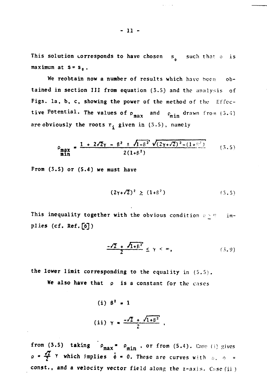This solution corresponds to have chosen s<sub>a</sub> such that o is o maximum at  $s = s_0$ .

We reobtain now a number of results which have been  $ob-$ **We reobtain now a number** of results which have been **ob**tained in section III from equation (3.5) and the analysis of<br>Figs. la, b, c, showing the power of the method of the Effec-Figs, la, **b,** c, **showing the power** of the method of the I-1'feetive Potential **Theorem is a structure of product** and one of the structure of  $\mathbf{m}$  and  $\mathbf{m}$  and  $\mathbf{m}$ are obviously the roots  $r_i$  given in  $(5.5)$ , namely

are obviously the roots received in (3.5), namely the roots received in (3.5), namely the roots received in (3

$$
\rho_{\text{max}} = \frac{1 + 2\sqrt{2}\gamma - \beta^2 \pm \sqrt{1 - \beta^2} \sqrt{(2\gamma + \sqrt{2})^2 - (1 + \beta^2)}}{2(1 + \beta^2)}
$$
(3.5)

**From (3.5) or (5.4) we must have**

$$
(2\gamma + \sqrt{2})^2 \geq (1+\beta^2) \tag{5.5}
$$

This inequality together with the obvious condition  $c \geq 0$  implies **(cf. Ref.[6])**

$$
\frac{-\sqrt{2} + \sqrt{1+\beta^2}}{2} \leq \gamma < \infty, \tag{3.9}
$$

**the lower limit corresponding to** the equality in (5.5)

**We also have that p is** a **constant for the** cases

(i) 
$$
\beta^2 = 1
$$
  
(ii)  $\gamma = \frac{-\sqrt{2} + \sqrt{1 + \beta^2}}{2}$ 

**from (3.5) taking**  $\rho_{\text{max}} = \rho_{\text{min}}$ **, or from (5.4).** Case (i) gives  $p = \frac{p}{2}$  **Y** which implies  $\phi = 0$ . These are curves with  $q_1, q_2, \ldots, q_n$ **const., and a velocity vector** field along the z-axis. Case (ii )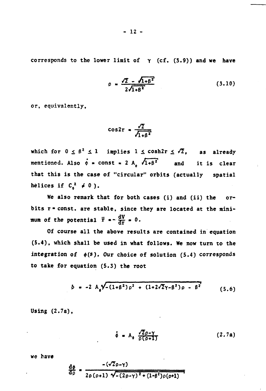**corresponds to the lower limit of Y (cf. (3.9)) and we have**

$$
\rho = \frac{\sqrt{2} - \sqrt{1 + \beta^2}}{2\sqrt{1 + \beta^2}}
$$
 (3.10)

**or, equivalently.**

$$
\cos 2\tau = \frac{\sqrt{2}}{\sqrt{1+\beta^2}}
$$

which for  $0 \le \beta^2 \le 1$  implies  $1 \le \cosh 2r \le \sqrt{2}$ , as already **mentioned.** Also  $\phi$  = const = 2 A<sub>8</sub>  $\sqrt{1+\beta^2}$  and it is clear **that this is the case of "circular" orbits (actually spatial helices if**  $C_0^2 \neq 0$  ).

**We also remark that for both cases (i) and (ii) the or**bits  $r$  = const. are stable, since they are located at the minimum of the potential  $\ddot{r} = - \frac{dV}{dr} = 0$ .

**Of course all the above results are contained in equation (5.4), which shall be used in what follows. We now turn to the** integration of  $\phi(s)$ . Our choice of solution  $(5.4)$  corresponds **to take for equation (5.3) the root**

$$
\delta = -2 A_0 \sqrt{-(1+\beta^2)\rho^2 + (1+2\sqrt{2}\gamma-\beta^2)\rho - \beta^2}
$$
 (5.6)

**Using (2.7a),**

$$
\dot{\phi} = A_0 \frac{\sqrt{2} \rho - \gamma}{\rho (\rho + 1)} \tag{2.7a}
$$

**we have**

$$
\frac{d\phi}{d\rho} = \frac{-(\sqrt{2}\rho - \gamma)}{2\rho(\rho + 1)\sqrt{-(2\rho - \gamma)^2 + (1-\beta^2)\rho(\rho + 1)}}
$$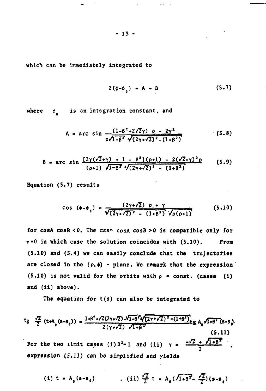**which can be immediately integrated to**

$$
2(\phi - \phi_a) = A + B \qquad (5.7)
$$

where  $\phi$  is an integration constant, and **o**

$$
A = \arcsin \frac{(1-\beta^2+2\sqrt{2}\gamma) \rho - 2\gamma^2}{\rho\sqrt{1-\beta^2}\sqrt{(2\gamma+\sqrt{2})^2-(1+\beta^2)}}
$$
(5.8)

$$
B = \arcsin \frac{[2\gamma(\sqrt{2}+\gamma) + 1 - \beta^2](\rho+1) - 2(\sqrt{2}+\gamma)^2 \rho}{(\rho+1) \sqrt{1-\beta^2} \sqrt{(2\gamma+\gamma^2)^2 - (1+\beta^2)}}
$$
(5.9)

**Equation (5.7) results**

$$
\cos (\phi - \phi_0) = \frac{(2\gamma + \sqrt{2}) \rho + \gamma}{\sqrt{(2\gamma + \sqrt{2})^2 - (1 + \beta^2)} \sqrt{\rho(\rho + 1)}}
$$
(5.10)

**for cosA cosB <0. The czsn cosA cosB >0 is compatible only for Y«0 in which case the solution coincides with (5.10). From (5.10) and (5.4) we can easily conclude that the trajectories** are closed in the  $(\rho, \phi)$  - plane. We remark that the expression  $(5.10)$  is not valid for the orbits with  $\rho$  = const. (cases (i) **and (ii) above).**

**The equation for t(s) can also be integrated to**

$$
t_g \frac{\sqrt{2}}{2} (t+A_0(s-s_0)) = \frac{1+\beta^2+\sqrt{2}(2\gamma+\sqrt{2})-\sqrt{1-\beta^2}\sqrt{(2\gamma+\sqrt{2})^2-(1+\beta^2)}}{2(\gamma+\sqrt{2})\sqrt{1+\beta^2}}t_gA_0\sqrt{1+\beta^2}(s-s_g)
$$
\n(5.11)  
\nFor the two limit cases (i)  $\beta^2 = 1$  and (ii)  $\gamma = \frac{-\sqrt{2} + \sqrt{1+\beta^2}}{2}$ ,  
\nexpression (5.11) can be simplified and yields

(i) 
$$
t = A_0 (s-s_0)
$$
 , (ii)  $\frac{\sqrt{2}}{2} t = A_0 (\sqrt{1+\beta^2} - \frac{\sqrt{2}}{2}) (s-s_0)$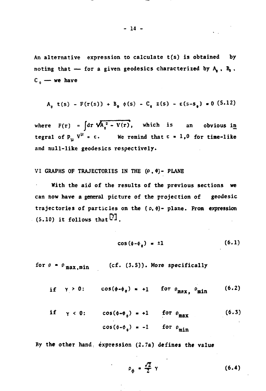**An alternative expression to calculate t(s) is obtained by noting that — for a given geodesies characterized by A, , B, , C 0 — we have**

$$
A_{0} (s) - F(r(s)) + B_{0} (s) - C_{0} z(s) - \epsilon(s - s_{0}) = 0 (5.12)
$$

where  $F(r) = |dr \sqrt{A_n^2 - V(r)},$  which is an obvious in **tegral of P<sub>u</sub>**  $V^{\mu} = \epsilon$ . We remind that  $\epsilon = 1,0$  for time-like **and null-like geodesies respectively.**

VI GRAPHS OF TRAJECTORIES IN THE  $(\rho, \phi)$ - PLANE

**With the aid of the results of the previous sections we can how have a general picture of the projection of geodesic trajectories of particles on the (p, \$)- plane. From expression**  $(5.10)$  it follows that  $\overline{VI}$ .

$$
\cos(\phi - \phi_a) = \pm 1 \tag{6.1}
$$

for  $\rho = \rho_{\text{max,min}}$  (cf. (3.5)). More specifically

if 
$$
\gamma > 0
$$
:  $\cos(\phi - \phi_0) = +1$  for  $\rho_{\text{max}}$ ,  $\rho_{\text{min}}$  (6.2)

$$
\begin{aligned}\n\text{if} \quad \gamma < 0: \quad \cos(\phi - \phi_0) = +1 \quad \text{for } \rho_{\text{max}} \tag{6.3} \\
\cos(\phi - \phi_0) &= -1 \quad \text{for } \rho_{\text{min}}\n\end{aligned}
$$

**By the other hand, expression (2.7a) defines the value**

$$
\rho_{\phi} = \frac{\sqrt{2}}{2} \gamma \tag{6.4}
$$

**- 14 -**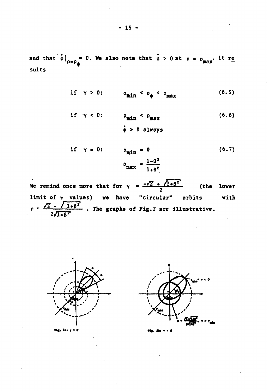and that  $\phi|_{\rho = \rho_{\phi}} = 0$ . We also note that  $\phi > 0$  at  $\rho = \rho_{\text{max}}$ . It re sults

if 
$$
\gamma > 0
$$
:  $\rho_{\min} < \rho_{\phi} < \rho_{\max}$  (6.5)

if 
$$
\gamma < 0
$$
:  $\rho_{\min} < \rho_{\max}$  (6.6)  
 $\dot{\phi} > 0$  always

if 
$$
\gamma = 0
$$
:  $\rho_{\min} = 0$  (6.7)  

$$
\rho_{\max} = \frac{1-\beta^2}{1+\beta^2}
$$

We remind once more that for  $\gamma = \frac{-\sqrt{2} + \sqrt{1+\beta^2}}{2}$ (the lower limit of  $\gamma$  values) we have "circular" orbits with  $\rho = \frac{\sqrt{2} - \sqrt{1+\beta^2}}{2\sqrt{1+\beta^2}}$ . The graphs of Fig. 2 are illustrative.





 $2a<sub>1</sub>$   $x<sub>2</sub>$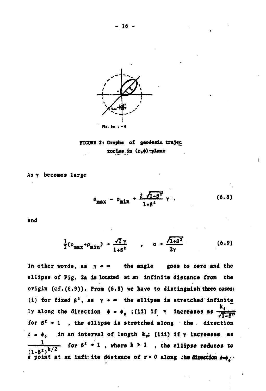



 $As \gamma$  becomes large

$$
\rho_{\text{max}} - \rho_{\text{min}} + \frac{2 \sqrt{1-\beta^2}}{1+\beta^2} \gamma \qquad (6.8)
$$

and

$$
\frac{1}{2}(\rho_{\text{max}}+\rho_{\text{min}})+\frac{\sqrt{2}\gamma}{1+\beta^2}, \qquad \alpha \to \frac{\sqrt{1+\beta^2}}{2\gamma}
$$
 (6.9)

**In other words, as** *y \*<sup>m</sup>* **the angle goes to zero and the ellipse of Fig. 2a is located at an infinite distance from the origin (cf.(6.9)). From (6.8) we have to distinguish'three cases:** (i) for fixed  $\beta^2$ , as  $\gamma \rightarrow \infty$  the ellipse is stretched infinite ly along the direction  $\phi = \phi_{\phi}$ ; (ii) if  $\gamma$  increases as for  $\beta^2$   $\rightarrow$  1 , the ellipse is stretched along the direction **£.<\*•" in an interval of length k9; (iii) if Y increases as** for  $\beta^2$  + 1, where  $k > 1$ , the ellipse reduces to **( 0 ) a point at an infi: ite distance of r« 0 along ;hedirection ••••**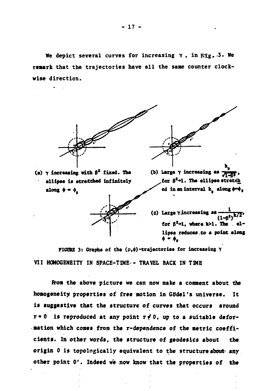**We depict several curves for increasing**  $\gamma$ **, in**  $\mathbb{R}^2$ **g. 3. We remark that the trajectories have all the same counter clockwise direction.**



**(a) Y increasing with B<sup>2</sup> fixed. The ellipse is stretched infinitely** along  $\phi = \phi$ 



**(b) Large** *y* **increasing as ^** for  $\beta^2$ -1. The ellipse stretch **ed in an interval kQ along ••• <sup>0</sup>**



**(č)** Large  $\gamma$ . increasing as  $(1-\beta^2)$ **k / 2 for BM, where a first first call the electron contract of the electron contract of the electron contract of the electron contract of the electron contract of the electron contract of the electron contract of the electron lipse reduces.to a point along**  $\phi = \phi_a$ 

FIGURE 3: Graphs of the  $(\rho, \phi)$ -trajectories for increasing  $\gamma$ **VII HOMOGENEITY IN SPACE-TIME- TRAVEL BACK IN TIME**

**from the above picture we can now make a comment about the homogeneity properties of free motion in GSdel's universe. It is suggestive that the structure of curves that occurs around** r  $\infty$  is reproduced at any point r  $\neq$  0, up to a suitable defor**mation which comes from the r-dependence of the metric coefficients. In other words, the structure of geodesies about the origin 0 is topologically equivalent to the structure about' any other point 0\*. Indeed we now know that the properties of the**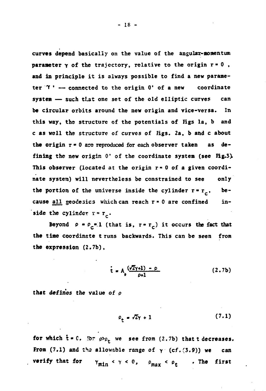**curves depend basically on the value of the angular-momentum** parameter  $\gamma$  of the trajectory, relative to the origin  $r = 0$ , **and in principle it is always possible to find a new parameter "T<sup>1</sup> — connected to the origin 0\* of a new coordinate system — such that one set of the old elliptic curves can be circular orbits around the new origin and vice-versa. In this way, the structure of the potentials of Figs la, b and c as well the structure of curves of Figs. 2a, b and c about the origin r« 0 arc reproduced for each observer taken as defining the new origin 0' of the coordinate system (see Fig.3>** This observer (located at the origin  $r = 0$  of a given coordi**nate system) will nevertheless be constrained to see only** the portion of the universe inside the cylinder  $r = r_c$ , be**cause all geodesies which can reach r • 0 are confined in**side the cylinder  $r = r_c$ .

Beyond  $P = P_c = 1$  (that is,  $r = r_c$ ) it occurs the fact that **the tine coordinate t runs backwards. This can be seen from the expression (2.7b),**

$$
\dot{t} = A_0 \frac{(\sqrt{2}\gamma + 1) - \rho}{\rho + 1}
$$
 (2.7b)

**that defines the value of p**

$$
\rho_{\rm t} = \sqrt{2}\gamma + 1 \tag{7.1}
$$

for which  $t = 0$ . For  $\rho > \rho_+$  we see from (2.7b) that t decreases. From  $(7.1)$  and the allowable range of  $\gamma$   $(cf.(3.9))$  we can **verify that for**  $\gamma_{\min} < \gamma < 0$ ,  $\rho_{\max} < \rho_t$  **. The first**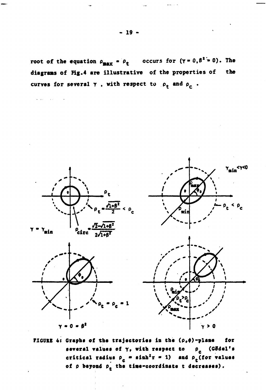root of the equation  $\rho_{\text{max}} = \rho_t$  occurs for  $(\gamma = 0, \beta^2 = 0)$ . The diagrams of Fig.4 are illustrative of the properties of the curves for several  $\gamma$ , with respect to  $\rho_t$  and  $\rho_c$ .



FIGURE 4: Graphs of the trajectories in the (p, p)-plane for  $\rho_c$  (Cödel's several values of  $\gamma$ , with respect to critical radius  $\rho_c = \sinh^2 r = 1$ ) and  $\rho_c$  (for values of  $\rho$  beyond  $\rho_{\epsilon}$  the time-coordinate t decreases).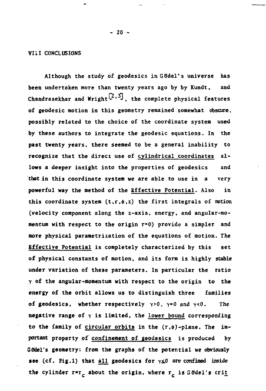### **VIII CONCLUSIONS**

**Although the study of geodesies inGtidel's universe has been undertaken more than twenty years ago by by Kundt, and** Chandrasekhar and Wright<sup>[2,5]</sup>, the complete physical features **of geodesic motion in this geometry remained somewhat obscure, possibly related to the choice of the coordinate system used by these authors to integrate the geodesic equations. In the past twenty years, there seemed to be a general inability to recognize that the direct use of cylindrical coordinates al**lows a deeper insight into the properties of geodesics and **that in this coordinate system we are able to use in a very powerful way the method of the Effective Potential. Also in** this coordinate system  $(t, r, \phi, z)$  the first integrals of motion **(velocity component along the z-axis, energy, and angular-momentum with respect to the origin r=0) provide a simpler and more physical parametrization of the equations of motion. The Effective Potential is completely characterized by this set of physical constants of motion, and its form is highly stable under variation of these parameters. In particular the ratio Y of the angular-momentum with respect to the origin to the energy of the orbit allows us to distinguish three families of geodesics, whether respectively**  $\gamma > 0$ ,  $\gamma = 0$  and  $\gamma < 0$ . The **negative range of y is limited, the lower bound corresponding** to the family of circular orbits in the  $(r, \phi)$ -plane. The im**portant property of confinement of geodesies is produced by** Godel's geometry: from the graphs of the potential we obviously see (cf. Fig.1) that all geodesics for  $\gamma \leq 0$  are confined inside the cylinder  $r=r_c$  about the origin, where  $r_c$  is Gödel's crit

**- 20 -**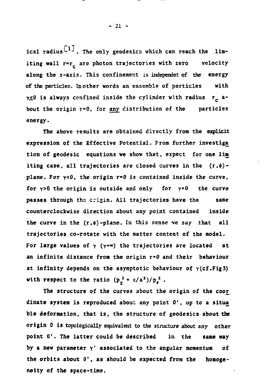ical radius<sup>[1]</sup>. The only geodesics which can reach the limiting wall  $\tau$ <sup>=</sup>r<sub>c</sub> are photon trajectories with zero velocity **along the z-axis. This confinement is independei of the energy of the particles. In other words an ensemble of particles with y<0 is always confined inside the cylinder with radius rc about the origin r<sup>s</sup>0, for any distribution of the particles energy.**

**The above results are obtained directly from the explicit expression of the Effective Potential. From further investiga tion of geodesic equations we show that, expect for one lim** iting case, all trajectories are closed curves in the  $(r, \phi)$ **plane. For Y<0 , the origin r\*0 is contained inside the curve, for y>0 the origin is outside and only for Y'O the curve passes through the crigin. All trajectories have the same counterclockwise direction about any point contained inside** the curve in the  $(r, \phi)$ -plane. In this sense we say that all **trajectories co-rotate with the matter content of the model.** For large values of  $\gamma$  ( $\gamma \rightarrow \infty$ ) the trajectories are located at **an infinite distance from the origin r»0 and their behaviour at infinity depends on the asymptotic behaviour of Y(cf.Fig3)** with respect to the ratio  $(p_2^2 + \varepsilon/a^2)/p_0^2$ .

**The structure of the curves about the origin of the coor dinate system is reproduced about any point 0', up to a situa ble deformation, that is, the structure of geodesies about the origin 0 is topologically equivalent to the structure about any other point 0'. The latter could be described in the same way by a new parameter Y' associated to the angular momentum of the orbits about 0', as should be expected from the homogeneity of the space-time.**

**- 21 -**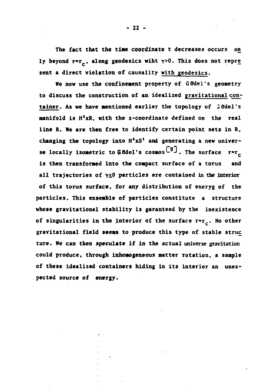**The fact that the tine coordinate t decreases occurs on** ly beyond r=r<sub>c</sub>, along geodesics wiht  $\gamma > 0$ . This does not repre **sent a direct violation of causality with geodesies.**

**We now use the confinement property of GOdel's geometry to discuss the construction of an idealized gravitational con**tainer. As we have mentioned earlier the topology of 3 ödel's **manifold is H'xR, with the z-coordinate defined on the real line R. We are then free to identify certain point sets in R, changing the topology into H'xS<sup>1</sup> and generating a new univer**se locally isometric to Gödel's cosmos<sup>[9]</sup>. The surface **is then transformed into the compact surface of a torus and all trajectories of y<fi particles are contained in the interior of this torus surface, for any distribution of eneryg of the particles. This ensemble of particles constitute a structure whose gravitational stability is garanteed by the inexistence** of singularities in the interior of the surface  $r^*r_c$ . No other **gravitational field seems to produce this type of stable struc ture. We can then speculate if in the actual universe gravitation could produce, through inhomogeneous matter rotation, a sample of these idealized containers hiding in its interior an unexpected source of energy.**

**- 22 -**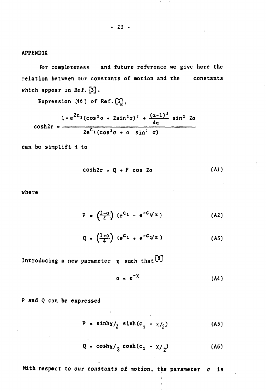**APPENDIX**

**Ibr completeness and future reference we give here the relation between our constants of motion and the constants which appear in Ref. £3J .**

**Expression (46) of Ref.**

$$
1 + e^{2C_1} (\cos^2 \sigma + 2 \sin^2 \sigma)^2 + \frac{(\alpha - 1)^2}{4 \alpha} \sin^2 2\sigma
$$
\n
$$
\cosh 2\tau = \frac{2e^{C_1} (\cos^2 \sigma + \alpha \sin^2 \sigma)}{2e^{C_1} (\cos^2 \sigma + \alpha \sin^2 \sigma)}
$$

can be simplifid to

$$
\cosh 2r = Q + P \cos 2\sigma \qquad (A1)
$$

 $-$ 

where

$$
P = \left(\frac{1-\alpha}{4}\right) (e^{C_1} - e^{-C_1/\alpha})
$$
 (A2)

$$
Q = \left(\frac{1+c}{4}\right) (e^{C_1} + e^{-C_1/\alpha})
$$
 (A3)

Introducing a new parameter  $x$  such that<sup>[8]</sup>

$$
\alpha = e^{-\chi} \tag{A4}
$$

**P and Q can be expressed**

$$
P = \sinh\chi/2 \sinh(c_1 - \chi/2) \tag{A5}
$$

$$
Q = \cosh \frac{x}{2} \cosh (c_1 - \frac{x}{2})
$$
 (A6)

With respect to our constants of motion, the parameter  $\sigma$  is

**- 23 -**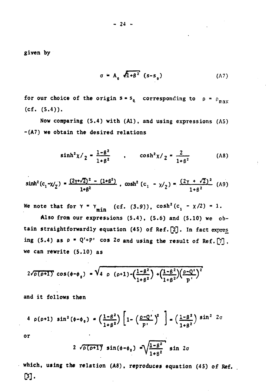given by

$$
\sigma = A_0 \sqrt{1 + \beta^2} (s - s_0) \tag{A7}
$$

for our choice of the origin  $s = s_0$  corresponding to  $\rho = \rho_{\text{max}}$  $(cf. (5.4)).$ 

Now comparing (5.4) with (A1), and using expressions (A5) -(A7) we obtain the desired relations

$$
\sinh^{2} \chi /_{2} = \frac{1 - \beta^{2}}{1 + \beta^{2}} \qquad , \qquad \cosh^{2} \chi /_{2} = \frac{2}{1 + \beta^{2}} \qquad (A8)
$$

$$
\sinh^2(c_1 - \chi/2) = \frac{(2\gamma + \sqrt{2})^2 - (1+\beta^2)}{1+\beta^2}, \quad \cosh^2(c_1 - \chi/2) = \frac{(2\gamma + \sqrt{2})^2}{1+\beta^2} \quad \text{(A9)}
$$

We note that for  $\gamma = \gamma_{\min}$  (cf. (3.9)),  $\cosh^2(c_1 - \chi/2) = 1$ .

Also from our expressions (5.4), (5.6) and (5.10) we obtain straightforwardly equation (45) of Ref. [2]. In fact expres ing (5.4) as  $\rho = Q'+P'$  cos  $2\sigma$  and using the result of Ref. [7]. we can rewrite (5.10) as

$$
2\sqrt{p(p+1)} cos(\phi-\phi_0) = \sqrt{4 p(p+1) - (\frac{1-\beta^2}{1+\beta^2}) + (\frac{1-\beta^2}{1+\beta^2})(\frac{p-Q^2}{p})^2}
$$

and it follows then

$$
4 \rho(\rho+1) \sin^2(\phi-\phi_0) = \left(\frac{1-\beta^2}{1+\beta^2}\right) \left[1-\left(\frac{\rho-Q'}{P'}\right)^2\right] - \left(\frac{1-\beta^2}{1+\beta^2}\right) \sin^2 2\sigma
$$

or

$$
2\sqrt{\rho(\rho+1)}\sin(\phi-\phi_0)-\sqrt{\frac{1-\beta^2}{1+\beta^2}}\sin 2\sigma
$$

which, using the relation  $(A8)$ , reproduces equation  $(45)$  of Ref.  $[3]$ .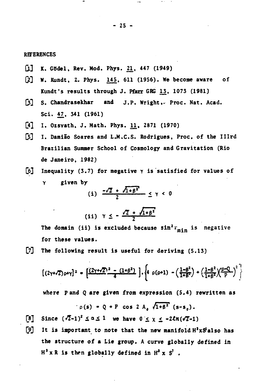#### **REFERENCES**

- **Dl] K. GtSdel, Rev. Mod. Phys.** *U<sup>t</sup>*  **447 (1949)**
- **C2] W. Kundt, 2. Phys. 145, 611 (1956). We become aware of** Kundt's results through J. Pfarr GRG 13, 1073 (1981)
- **[3] S. Chandrasekhar and j.p . Wright,- Proc. Nat. Acad. Sci. 47, 341 (1961)**
- **[4] I. Ozsvath, J. Math. Phys. 11, 2871 (1970)**
- **Cs] I. Oamião Soares and L.M.C.S. Rodrigues, Proc, of the Illrd Brazilian Summer School of Cosmology and Gravitation (Rio de Janeiro, 1982)**
- [6] Inequality (3.7) for negative  $\gamma$  is satisfied for values of **Y given by \_\_ \_**

(i) 
$$
\frac{-\sqrt{2} + \sqrt{1+\beta^2}}{2} \leq \gamma < 0
$$

(ii) 
$$
\gamma \leq -\frac{\sqrt{2} + \sqrt{1+\beta^2}}{2}
$$

**The domain (ii) is excluded because**  $sin^2x$ **<sub>min</sub> is negative for these values.**

**[7] The following result is useful for deriving (5.13)**

$$
\left[\left(2\gamma+\sqrt{2}\right)\rho+\gamma\right]^2 = \left[\frac{\left(2\gamma+\sqrt{2}\right)^2-\left(1+\beta^2\right)}{4}\right], \left\{4 \rho(\rho+1)-\left(\frac{1-\beta^2}{1+\beta^2}\right)+\left(\frac{1-\beta^2}{1+\beta^2}\right)\left(\frac{\rho-Q}{P}\right)^2\right\}
$$

**where Pand Q are given from expression (5.4) rewritten as**

$$
p(s) = Q + P \cos 2 A_0 \sqrt{1 + \beta^2} (s - s_0).
$$

 $[8]$  Since  $(\sqrt{2}-1)^2 \le \alpha \le 1$  we have  $0 \le \chi \le -2\ell n(\sqrt{2}-1)$ 

**[9] It is important to note that the new manifold H'xS'also has the structure of a Lie group. A curve globally defined in H'xR is then globally defined in H\* x S} .**

**- 25 -**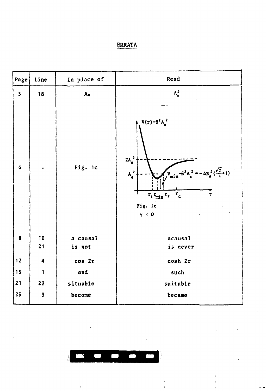# **ERRATA**

| Page           | Line                    | In place of        | Read                                                                                                                                                                                         |
|----------------|-------------------------|--------------------|----------------------------------------------------------------------------------------------------------------------------------------------------------------------------------------------|
| 5              | 18                      | $A_0$              | $\Lambda_0^2$                                                                                                                                                                                |
| $6\phantom{1}$ |                         | Fig. 1c            | $V(r) - \beta^2 A_0^2$<br>$2A_0^2$<br>$V_{\text{min}}-6^{2}A_{0}^{2} = -4B_{0}^{2}(\frac{\sqrt{2}}{\gamma}+1)$<br>$A_0^2$<br>$r_1 r_{min} r_2 r_c$<br>$\bar{\mathbf{r}}$<br>Fig. le<br>Y < 0 |
| $\bf{8}$       | 10<br>21                | a causal<br>is not | acausa1<br>is never                                                                                                                                                                          |
| 12             | $\overline{\mathbf{4}}$ | cos 2r             | cosh 2r                                                                                                                                                                                      |
| 15             | $\mathbf{1}$            | and                | such                                                                                                                                                                                         |
| 21             | 23                      | situable           | suitable                                                                                                                                                                                     |
| 25             | $\overline{\mathbf{3}}$ | become             | became                                                                                                                                                                                       |